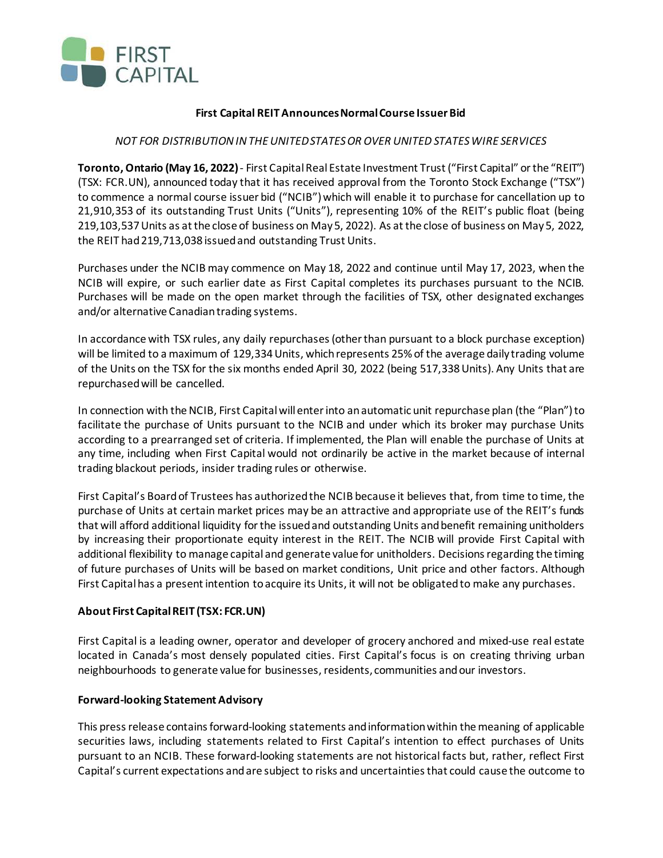

## **First Capital REIT Announces Normal Course Issuer Bid**

## *NOT FOR DISTRIBUTION IN THE UNITED STATES OR OVER UNITED STATES WIRE SERVICES*

**Toronto, Ontario (May 16, 2022)**- First Capital Real Estate Investment Trust("First Capital" or the "REIT") (TSX: FCR.UN), announced today that it has received approval from the Toronto Stock Exchange ("TSX") to commence a normal course issuer bid ("NCIB") which will enable it to purchase for cancellation up to 21,910,353 of its outstanding Trust Units ("Units"), representing 10% of the REIT's public float (being 219,103,537Units as at the close of business on May 5, 2022). As at the close of business on May 5, 2022, the REIT had219,713,038 issued and outstanding Trust Units.

Purchases under the NCIB may commence on May 18, 2022 and continue until May 17, 2023, when the NCIB will expire, or such earlier date as First Capital completes its purchases pursuant to the NCIB. Purchases will be made on the open market through the facilities of TSX, other designated exchanges and/or alternative Canadian trading systems.

In accordance with TSX rules, any daily repurchases (other than pursuant to a block purchase exception) will be limited to a maximum of 129,334Units, which represents 25% of the average daily trading volume of the Units on the TSX for the six months ended April 30, 2022 (being 517,338Units). Any Units that are repurchased will be cancelled.

In connection with the NCIB, First Capital will enter into an automatic unit repurchase plan (the "Plan") to facilitate the purchase of Units pursuant to the NCIB and under which its broker may purchase Units according to a prearranged set of criteria. If implemented, the Plan will enable the purchase of Units at any time, including when First Capital would not ordinarily be active in the market because of internal trading blackout periods, insider trading rules or otherwise.

First Capital's Board of Trustees has authorizedthe NCIB because it believes that, from time to time, the purchase of Units at certain market prices may be an attractive and appropriate use of the REIT's funds that will afford additional liquidity for the issued and outstanding Units and benefit remaining unitholders by increasing their proportionate equity interest in the REIT. The NCIB will provide First Capital with additional flexibility to manage capital and generate value for unitholders. Decisions regarding the timing of future purchases of Units will be based on market conditions, Unit price and other factors. Although First Capital has a present intention to acquire its Units, it will not be obligated to make any purchases.

## **About First Capital REIT (TSX: FCR.UN)**

First Capital is a leading owner, operator and developer of grocery anchored and mixed-use real estate located in Canada's most densely populated cities. First Capital's focus is on creating thriving urban neighbourhoods to generate value for businesses, residents, communities and our investors.

## **Forward-looking Statement Advisory**

This press release contains forward-looking statements and information within the meaning of applicable securities laws, including statements related to First Capital's intention to effect purchases of Units pursuant to an NCIB. These forward-looking statements are not historical facts but, rather, reflect First Capital's current expectations and are subject to risks and uncertainties that could cause the outcome to